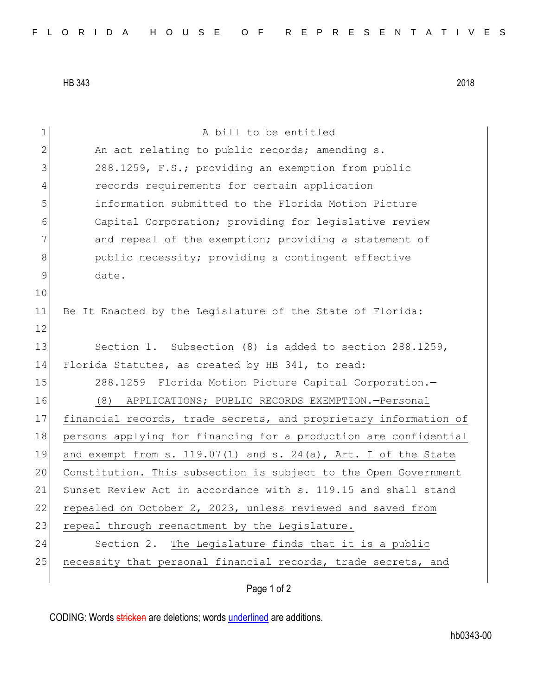HB 343 2018

| $\mathbf 1$  | A bill to be entitled                                            |
|--------------|------------------------------------------------------------------|
| $\mathbf{2}$ | An act relating to public records; amending s.                   |
| 3            | 288.1259, F.S.; providing an exemption from public               |
| 4            | records requirements for certain application                     |
| 5            | information submitted to the Florida Motion Picture              |
| 6            | Capital Corporation; providing for legislative review            |
| 7            | and repeal of the exemption; providing a statement of            |
| 8            | public necessity; providing a contingent effective               |
| $\mathsf 9$  | date.                                                            |
| 10           |                                                                  |
| 11           | Be It Enacted by the Legislature of the State of Florida:        |
| 12           |                                                                  |
| 13           | Section 1. Subsection (8) is added to section 288.1259,          |
| 14           | Florida Statutes, as created by HB 341, to read:                 |
| 15           | 288.1259 Florida Motion Picture Capital Corporation.-            |
| 16           | (8) APPLICATIONS; PUBLIC RECORDS EXEMPTION.-Personal             |
| 17           | financial records, trade secrets, and proprietary information of |
| 18           | persons applying for financing for a production are confidential |
| 19           | and exempt from s. 119.07(1) and s. 24(a), Art. I of the State   |
| 20           | Constitution. This subsection is subject to the Open Government  |
| 21           | Sunset Review Act in accordance with s. 119.15 and shall stand   |
| 22           | repealed on October 2, 2023, unless reviewed and saved from      |
| 23           | repeal through reenactment by the Legislature.                   |
| 24           | Section 2. The Legislature finds that it is a public             |
| 25           | necessity that personal financial records, trade secrets, and    |
|              |                                                                  |

Page 1 of 2

CODING: Words stricken are deletions; words underlined are additions.